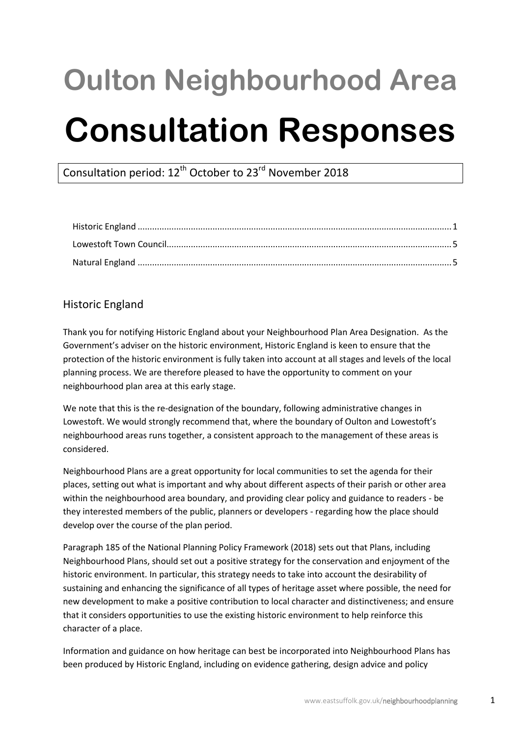# **Oulton Neighbourhood Area Consultation Responses**

Consultation period: 12<sup>th</sup> October to 23<sup>rd</sup> November 2018

# <span id="page-0-0"></span>Historic England

Thank you for notifying Historic England about your Neighbourhood Plan Area Designation. As the Government's adviser on the historic environment, Historic England is keen to ensure that the protection of the historic environment is fully taken into account at all stages and levels of the local planning process. We are therefore pleased to have the opportunity to comment on your neighbourhood plan area at this early stage.

We note that this is the re-designation of the boundary, following administrative changes in Lowestoft. We would strongly recommend that, where the boundary of Oulton and Lowestoft's neighbourhood areas runs together, a consistent approach to the management of these areas is considered.

Neighbourhood Plans are a great opportunity for local communities to set the agenda for their places, setting out what is important and why about different aspects of their parish or other area within the neighbourhood area boundary, and providing clear policy and guidance to readers - be they interested members of the public, planners or developers - regarding how the place should develop over the course of the plan period.

Paragraph 185 of the National Planning Policy Framework (2018) sets out that Plans, including Neighbourhood Plans, should set out a positive strategy for the conservation and enjoyment of the historic environment. In particular, this strategy needs to take into account the desirability of sustaining and enhancing the significance of all types of heritage asset where possible, the need for new development to make a positive contribution to local character and distinctiveness; and ensure that it considers opportunities to use the existing historic environment to help reinforce this character of a place.

Information and guidance on how heritage can best be incorporated into Neighbourhood Plans has been produced by Historic England, including on evidence gathering, design advice and policy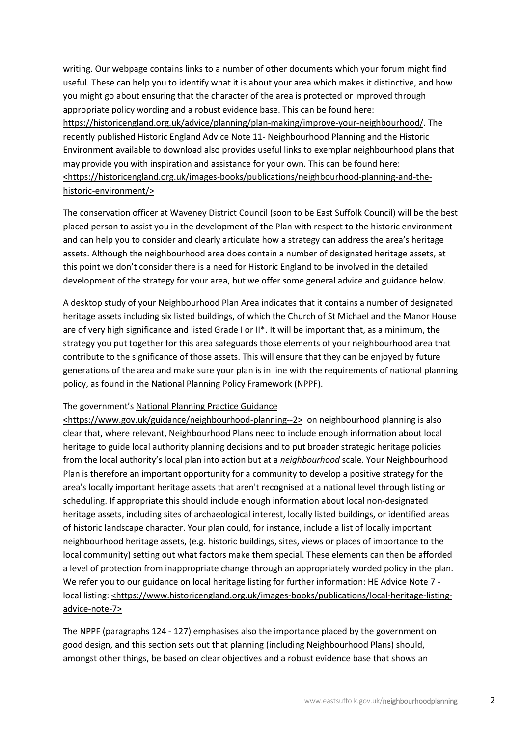writing. Our webpage contains links to a number of other documents which your forum might find useful. These can help you to identify what it is about your area which makes it distinctive, and how you might go about ensuring that the character of the area is protected or improved through appropriate policy wording and a robust evidence base. This can be found here: https://historicengland.org.uk/advice/planning/plan-making/improve-your-neighbourhood/. The recently published Historic England Advice Note 11- Neighbourhood Planning and the Historic Environment available to download also provides useful links to exemplar neighbourhood plans that may provide you with inspiration and assistance for your own. This can be found here: <https://historicengland.org.uk/images-books/publications/neighbourhood-planning-and-thehistoric-environment/>

The conservation officer at Waveney District Council (soon to be East Suffolk Council) will be the best placed person to assist you in the development of the Plan with respect to the historic environment and can help you to consider and clearly articulate how a strategy can address the area's heritage assets. Although the neighbourhood area does contain a number of designated heritage assets, at this point we don't consider there is a need for Historic England to be involved in the detailed development of the strategy for your area, but we offer some general advice and guidance below.

A desktop study of your Neighbourhood Plan Area indicates that it contains a number of designated heritage assets including six listed buildings, of which the Church of St Michael and the Manor House are of very high significance and listed Grade I or II\*. It will be important that, as a minimum, the strategy you put together for this area safeguards those elements of your neighbourhood area that contribute to the significance of those assets. This will ensure that they can be enjoyed by future generations of the area and make sure your plan is in line with the requirements of national planning policy, as found in the National Planning Policy Framework (NPPF).

#### The government's National Planning Practice Guidance

<https://www.gov.uk/guidance/neighbourhood-planning--2> on neighbourhood planning is also clear that, where relevant, Neighbourhood Plans need to include enough information about local heritage to guide local authority planning decisions and to put broader strategic heritage policies from the local authority's local plan into action but at a *neighbourhood* scale. Your Neighbourhood Plan is therefore an important opportunity for a community to develop a positive strategy for the area's locally important heritage assets that aren't recognised at a national level through listing or scheduling. If appropriate this should include enough information about local non-designated heritage assets, including sites of archaeological interest, locally listed buildings, or identified areas of historic landscape character. Your plan could, for instance, include a list of locally important neighbourhood heritage assets, (e.g. historic buildings, sites, views or places of importance to the local community) setting out what factors make them special. These elements can then be afforded a level of protection from inappropriate change through an appropriately worded policy in the plan. We refer you to our guidance on local heritage listing for further information: HE Advice Note 7 local listing: <https://www.historicengland.org.uk/images-books/publications/local-heritage-listingadvice-note-7>

The NPPF (paragraphs 124 - 127) emphasises also the importance placed by the government on good design, and this section sets out that planning (including Neighbourhood Plans) should, amongst other things, be based on clear objectives and a robust evidence base that shows an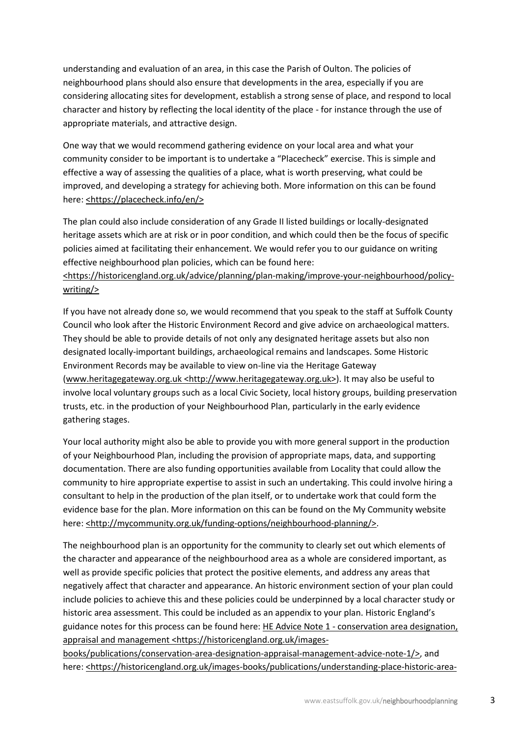understanding and evaluation of an area, in this case the Parish of Oulton. The policies of neighbourhood plans should also ensure that developments in the area, especially if you are considering allocating sites for development, establish a strong sense of place, and respond to local character and history by reflecting the local identity of the place - for instance through the use of appropriate materials, and attractive design.

One way that we would recommend gathering evidence on your local area and what your community consider to be important is to undertake a "Placecheck" exercise. This is simple and effective a way of assessing the qualities of a place, what is worth preserving, what could be improved, and developing a strategy for achieving both. More information on this can be found here: <https://placecheck.info/en/>

The plan could also include consideration of any Grade II listed buildings or locally-designated heritage assets which are at risk or in poor condition, and which could then be the focus of specific policies aimed at facilitating their enhancement. We would refer you to our guidance on writing effective neighbourhood plan policies, which can be found here:

## <https://historicengland.org.uk/advice/planning/plan-making/improve-your-neighbourhood/policywriting/>

If you have not already done so, we would recommend that you speak to the staff at Suffolk County Council who look after the Historic Environment Record and give advice on archaeological matters. They should be able to provide details of not only any designated heritage assets but also non designated locally-important buildings, archaeological remains and landscapes. Some Historic Environment Records may be available to view on-line via the Heritage Gateway (www.heritagegateway.org.uk <http://www.heritagegateway.org.uk>). It may also be useful to involve local voluntary groups such as a local Civic Society, local history groups, building preservation trusts, etc. in the production of your Neighbourhood Plan, particularly in the early evidence gathering stages.

Your local authority might also be able to provide you with more general support in the production of your Neighbourhood Plan, including the provision of appropriate maps, data, and supporting documentation. There are also funding opportunities available from Locality that could allow the community to hire appropriate expertise to assist in such an undertaking. This could involve hiring a consultant to help in the production of the plan itself, or to undertake work that could form the evidence base for the plan. More information on this can be found on the My Community website here: <http://mycommunity.org.uk/funding-options/neighbourhood-planning/>.

The neighbourhood plan is an opportunity for the community to clearly set out which elements of the character and appearance of the neighbourhood area as a whole are considered important, as well as provide specific policies that protect the positive elements, and address any areas that negatively affect that character and appearance. An historic environment section of your plan could include policies to achieve this and these policies could be underpinned by a local character study or historic area assessment. This could be included as an appendix to your plan. Historic England's guidance notes for this process can be found here: HE Advice Note 1 - conservation area designation, appraisal and management <https://historicengland.org.uk/images-

books/publications/conservation-area-designation-appraisal-management-advice-note-1/>, and here: <https://historicengland.org.uk/images-books/publications/understanding-place-historic-area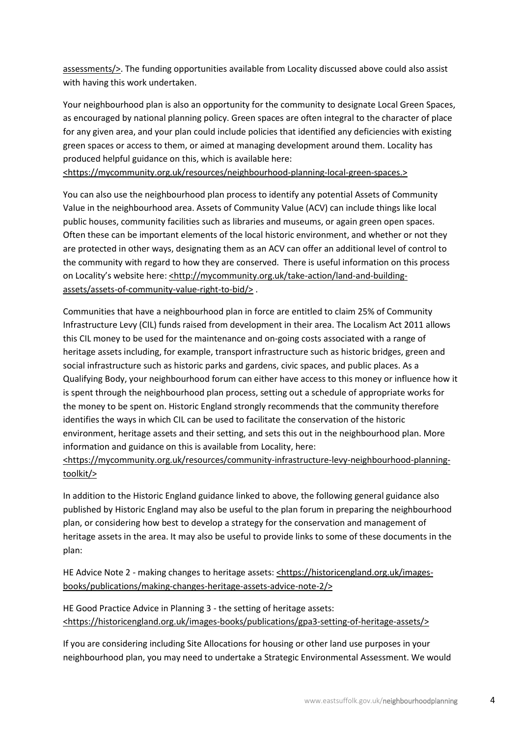assessments/>. The funding opportunities available from Locality discussed above could also assist with having this work undertaken.

Your neighbourhood plan is also an opportunity for the community to designate Local Green Spaces, as encouraged by national planning policy. Green spaces are often integral to the character of place for any given area, and your plan could include policies that identified any deficiencies with existing green spaces or access to them, or aimed at managing development around them. Locality has produced helpful guidance on this, which is available here: <https://mycommunity.org.uk/resources/neighbourhood-planning-local-green-spaces.>

You can also use the neighbourhood plan process to identify any potential Assets of Community Value in the neighbourhood area. Assets of Community Value (ACV) can include things like local public houses, community facilities such as libraries and museums, or again green open spaces. Often these can be important elements of the local historic environment, and whether or not they are protected in other ways, designating them as an ACV can offer an additional level of control to the community with regard to how they are conserved. There is useful information on this process on Locality's website here: <http://mycommunity.org.uk/take-action/land-and-buildingassets/assets-of-community-value-right-to-bid/> .

Communities that have a neighbourhood plan in force are entitled to claim 25% of Community Infrastructure Levy (CIL) funds raised from development in their area. The Localism Act 2011 allows this CIL money to be used for the maintenance and on-going costs associated with a range of heritage assets including, for example, transport infrastructure such as historic bridges, green and social infrastructure such as historic parks and gardens, civic spaces, and public places. As a Qualifying Body, your neighbourhood forum can either have access to this money or influence how it is spent through the neighbourhood plan process, setting out a schedule of appropriate works for the money to be spent on. Historic England strongly recommends that the community therefore identifies the ways in which CIL can be used to facilitate the conservation of the historic environment, heritage assets and their setting, and sets this out in the neighbourhood plan. More information and guidance on this is available from Locality, here:

## <https://mycommunity.org.uk/resources/community-infrastructure-levy-neighbourhood-planningtoolkit/>

In addition to the Historic England guidance linked to above, the following general guidance also published by Historic England may also be useful to the plan forum in preparing the neighbourhood plan, or considering how best to develop a strategy for the conservation and management of heritage assets in the area. It may also be useful to provide links to some of these documents in the plan:

HE Advice Note 2 - making changes to heritage assets: <https://historicengland.org.uk/imagesbooks/publications/making-changes-heritage-assets-advice-note-2/>

HE Good Practice Advice in Planning 3 - the setting of heritage assets: <https://historicengland.org.uk/images-books/publications/gpa3-setting-of-heritage-assets/>

If you are considering including Site Allocations for housing or other land use purposes in your neighbourhood plan, you may need to undertake a Strategic Environmental Assessment. We would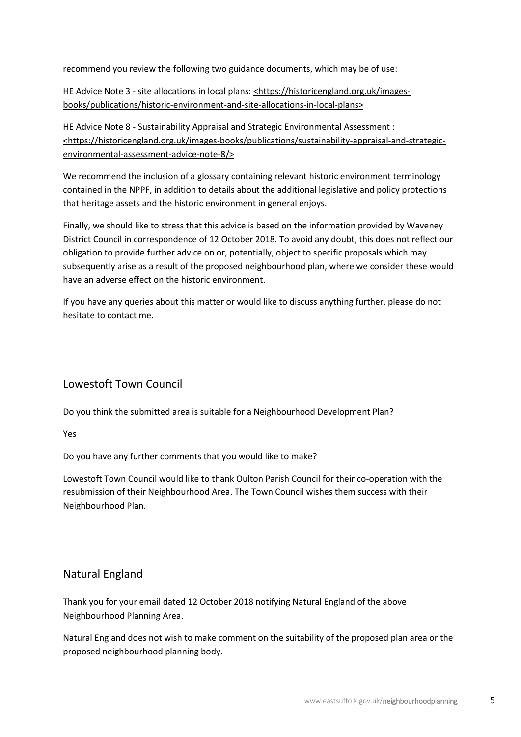recommend you review the following two guidance documents, which may be of use:

HE Advice Note 3 - site allocations in local plans: <https://historicengland.org.uk/imagesbooks/publications/historic-environment-and-site-allocations-in-local-plans>

HE Advice Note 8 - Sustainability Appraisal and Strategic Environmental Assessment : <https://historicengland.org.uk/images-books/publications/sustainability-appraisal-and-strategicenvironmental-assessment-advice-note-8/>

We recommend the inclusion of a glossary containing relevant historic environment terminology contained in the NPPF, in addition to details about the additional legislative and policy protections that heritage assets and the historic environment in general enjoys.

Finally, we should like to stress that this advice is based on the information provided by Waveney District Council in correspondence of 12 October 2018. To avoid any doubt, this does not reflect our obligation to provide further advice on or, potentially, object to specific proposals which may subsequently arise as a result of the proposed neighbourhood plan, where we consider these would have an adverse effect on the historic environment.

If you have any queries about this matter or would like to discuss anything further, please do not hesitate to contact me.

# <span id="page-4-0"></span>Lowestoft Town Council

Do you think the submitted area is suitable for a Neighbourhood Development Plan?

Yes

Do you have any further comments that you would like to make?

Lowestoft Town Council would like to thank Oulton Parish Council for their co-operation with the resubmission of their Neighbourhood Area. The Town Council wishes them success with their Neighbourhood Plan.

# <span id="page-4-1"></span>Natural England

Thank you for your email dated 12 October 2018 notifying Natural England of the above Neighbourhood Planning Area.

Natural England does not wish to make comment on the suitability of the proposed plan area or the proposed neighbourhood planning body.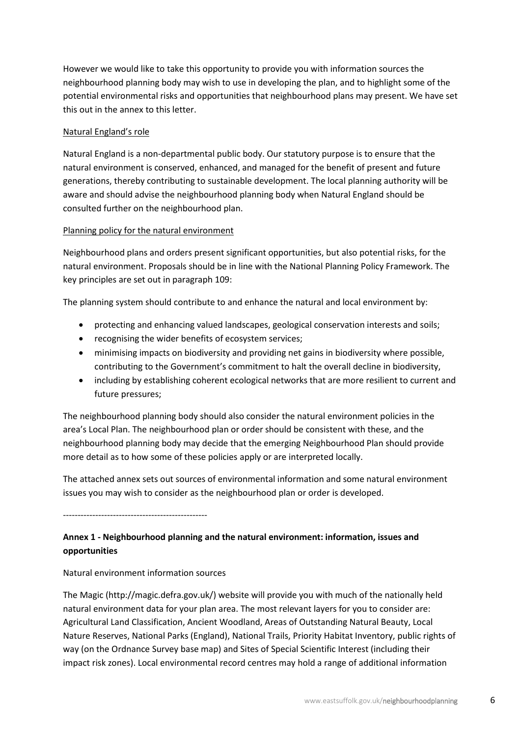However we would like to take this opportunity to provide you with information sources the neighbourhood planning body may wish to use in developing the plan, and to highlight some of the potential environmental risks and opportunities that neighbourhood plans may present. We have set this out in the annex to this letter.

## Natural England's role

Natural England is a non-departmental public body. Our statutory purpose is to ensure that the natural environment is conserved, enhanced, and managed for the benefit of present and future generations, thereby contributing to sustainable development. The local planning authority will be aware and should advise the neighbourhood planning body when Natural England should be consulted further on the neighbourhood plan.

## Planning policy for the natural environment

Neighbourhood plans and orders present significant opportunities, but also potential risks, for the natural environment. Proposals should be in line with the National Planning Policy Framework. The key principles are set out in paragraph 109:

The planning system should contribute to and enhance the natural and local environment by:

- protecting and enhancing valued landscapes, geological conservation interests and soils;
- recognising the wider benefits of ecosystem services;
- minimising impacts on biodiversity and providing net gains in biodiversity where possible, contributing to the Government's commitment to halt the overall decline in biodiversity,
- including by establishing coherent ecological networks that are more resilient to current and future pressures;

The neighbourhood planning body should also consider the natural environment policies in the area's Local Plan. The neighbourhood plan or order should be consistent with these, and the neighbourhood planning body may decide that the emerging Neighbourhood Plan should provide more detail as to how some of these policies apply or are interpreted locally.

The attached annex sets out sources of environmental information and some natural environment issues you may wish to consider as the neighbourhood plan or order is developed.

-------------------------------------------------

## **Annex 1 - Neighbourhood planning and the natural environment: information, issues and opportunities**

Natural environment information sources

The Magic (http://magic.defra.gov.uk/) website will provide you with much of the nationally held natural environment data for your plan area. The most relevant layers for you to consider are: Agricultural Land Classification, Ancient Woodland, Areas of Outstanding Natural Beauty, Local Nature Reserves, National Parks (England), National Trails, Priority Habitat Inventory, public rights of way (on the Ordnance Survey base map) and Sites of Special Scientific Interest (including their impact risk zones). Local environmental record centres may hold a range of additional information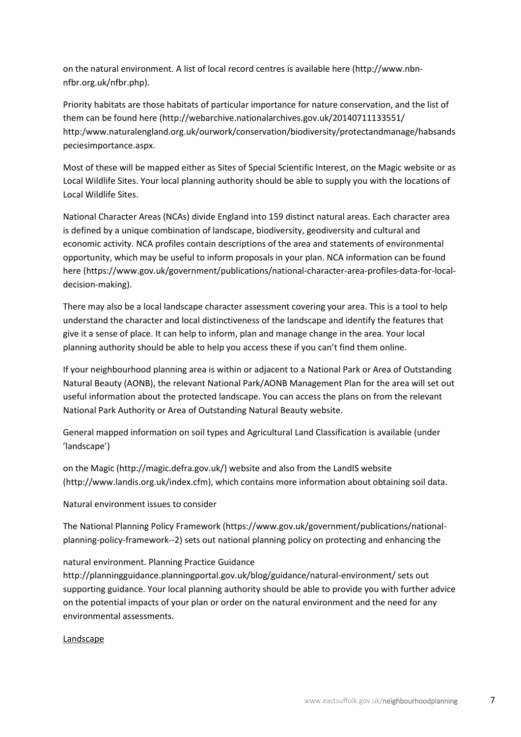on the natural environment. A list of local record centres is available here (http://www.nbnnfbr.org.uk/nfbr.php).

Priority habitats are those habitats of particular importance for nature conservation, and the list of them can be found here (http://webarchive.nationalarchives.gov.uk/20140711133551/ http:/www.naturalengland.org.uk/ourwork/conservation/biodiversity/protectandmanage/habsands peciesimportance.aspx.

Most of these will be mapped either as Sites of Special Scientific Interest, on the Magic website or as Local Wildlife Sites. Your local planning authority should be able to supply you with the locations of Local Wildlife Sites.

National Character Areas (NCAs) divide England into 159 distinct natural areas. Each character area is defined by a unique combination of landscape, biodiversity, geodiversity and cultural and economic activity. NCA profiles contain descriptions of the area and statements of environmental opportunity, which may be useful to inform proposals in your plan. NCA information can be found here (https://www.gov.uk/government/publications/national-character-area-profiles-data-for-localdecision-making).

There may also be a local landscape character assessment covering your area. This is a tool to help understand the character and local distinctiveness of the landscape and identify the features that give it a sense of place. It can help to inform, plan and manage change in the area. Your local planning authority should be able to help you access these if you can't find them online.

If your neighbourhood planning area is within or adjacent to a National Park or Area of Outstanding Natural Beauty (AONB), the relevant National Park/AONB Management Plan for the area will set out useful information about the protected landscape. You can access the plans on from the relevant National Park Authority or Area of Outstanding Natural Beauty website.

General mapped information on soil types and Agricultural Land Classification is available (under 'landscape')

on the Magic (http://magic.defra.gov.uk/) website and also from the LandIS website (http://www.landis.org.uk/index.cfm), which contains more information about obtaining soil data.

Natural environment issues to consider

The National Planning Policy Framework (https://www.gov.uk/government/publications/nationalplanning-policy-framework--2) sets out national planning policy on protecting and enhancing the

natural environment. Planning Practice Guidance

http://planningguidance.planningportal.gov.uk/blog/guidance/natural-environment/ sets out supporting guidance. Your local planning authority should be able to provide you with further advice on the potential impacts of your plan or order on the natural environment and the need for any environmental assessments.

#### Landscape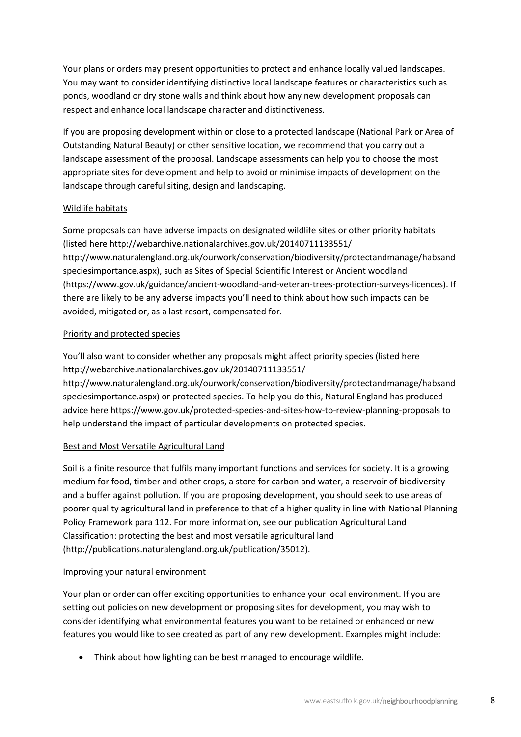Your plans or orders may present opportunities to protect and enhance locally valued landscapes. You may want to consider identifying distinctive local landscape features or characteristics such as ponds, woodland or dry stone walls and think about how any new development proposals can respect and enhance local landscape character and distinctiveness.

If you are proposing development within or close to a protected landscape (National Park or Area of Outstanding Natural Beauty) or other sensitive location, we recommend that you carry out a landscape assessment of the proposal. Landscape assessments can help you to choose the most appropriate sites for development and help to avoid or minimise impacts of development on the landscape through careful siting, design and landscaping.

#### Wildlife habitats

Some proposals can have adverse impacts on designated wildlife sites or other priority habitats (listed here http://webarchive.nationalarchives.gov.uk/20140711133551/ http://www.naturalengland.org.uk/ourwork/conservation/biodiversity/protectandmanage/habsand speciesimportance.aspx), such as Sites of Special Scientific Interest or Ancient woodland (https://www.gov.uk/guidance/ancient-woodland-and-veteran-trees-protection-surveys-licences). If there are likely to be any adverse impacts you'll need to think about how such impacts can be avoided, mitigated or, as a last resort, compensated for.

#### Priority and protected species

You'll also want to consider whether any proposals might affect priority species (listed here http://webarchive.nationalarchives.gov.uk/20140711133551/

http://www.naturalengland.org.uk/ourwork/conservation/biodiversity/protectandmanage/habsand speciesimportance.aspx) or protected species. To help you do this, Natural England has produced advice here https://www.gov.uk/protected-species-and-sites-how-to-review-planning-proposals to help understand the impact of particular developments on protected species.

## Best and Most Versatile Agricultural Land

Soil is a finite resource that fulfils many important functions and services for society. It is a growing medium for food, timber and other crops, a store for carbon and water, a reservoir of biodiversity and a buffer against pollution. If you are proposing development, you should seek to use areas of poorer quality agricultural land in preference to that of a higher quality in line with National Planning Policy Framework para 112. For more information, see our publication Agricultural Land Classification: protecting the best and most versatile agricultural land (http://publications.naturalengland.org.uk/publication/35012).

## Improving your natural environment

Your plan or order can offer exciting opportunities to enhance your local environment. If you are setting out policies on new development or proposing sites for development, you may wish to consider identifying what environmental features you want to be retained or enhanced or new features you would like to see created as part of any new development. Examples might include:

• Think about how lighting can be best managed to encourage wildlife.